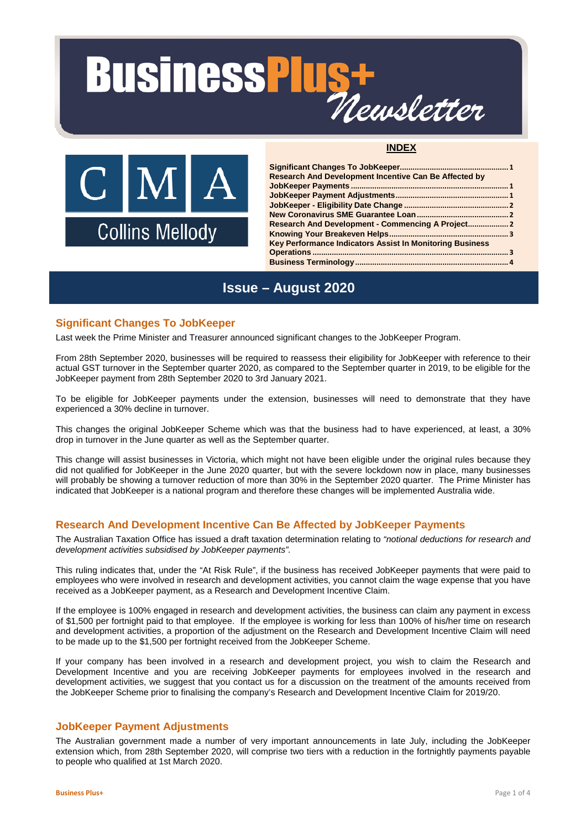# **BUSINGSS** Newsletter

#### **INDEX**



| <b>Research And Development Incentive Can Be Affected by</b> |  |
|--------------------------------------------------------------|--|
|                                                              |  |
|                                                              |  |
|                                                              |  |
|                                                              |  |
|                                                              |  |
|                                                              |  |
| Key Performance Indicators Assist In Monitoring Business     |  |
|                                                              |  |
|                                                              |  |
|                                                              |  |

# **Issue – August 2020**

## **Significant Changes To JobKeeper**

Last week the Prime Minister and Treasurer announced significant changes to the JobKeeper Program.

From 28th September 2020, businesses will be required to reassess their eligibility for JobKeeper with reference to their actual GST turnover in the September quarter 2020, as compared to the September quarter in 2019, to be eligible for the JobKeeper payment from 28th September 2020 to 3rd January 2021.

To be eligible for JobKeeper payments under the extension, businesses will need to demonstrate that they have experienced a 30% decline in turnover.

This changes the original JobKeeper Scheme which was that the business had to have experienced, at least, a 30% drop in turnover in the June quarter as well as the September quarter.

This change will assist businesses in Victoria, which might not have been eligible under the original rules because they did not qualified for JobKeeper in the June 2020 quarter, but with the severe lockdown now in place, many businesses will probably be showing a turnover reduction of more than 30% in the September 2020 quarter. The Prime Minister has indicated that JobKeeper is a national program and therefore these changes will be implemented Australia wide.

## **Research And Development Incentive Can Be Affected by JobKeeper Payments**

The Australian Taxation Office has issued a draft taxation determination relating to *"notional deductions for research and development activities subsidised by JobKeeper payments".* 

This ruling indicates that, under the "At Risk Rule", if the business has received JobKeeper payments that were paid to employees who were involved in research and development activities, you cannot claim the wage expense that you have received as a JobKeeper payment, as a Research and Development Incentive Claim.

If the employee is 100% engaged in research and development activities, the business can claim any payment in excess of \$1,500 per fortnight paid to that employee. If the employee is working for less than 100% of his/her time on research and development activities, a proportion of the adjustment on the Research and Development Incentive Claim will need to be made up to the \$1,500 per fortnight received from the JobKeeper Scheme.

If your company has been involved in a research and development project, you wish to claim the Research and Development Incentive and you are receiving JobKeeper payments for employees involved in the research and development activities, we suggest that you contact us for a discussion on the treatment of the amounts received from the JobKeeper Scheme prior to finalising the company's Research and Development Incentive Claim for 2019/20.

## **JobKeeper Payment Adjustments**

The Australian government made a number of very important announcements in late July, including the JobKeeper extension which, from 28th September 2020, will comprise two tiers with a reduction in the fortnightly payments payable to people who qualified at 1st March 2020.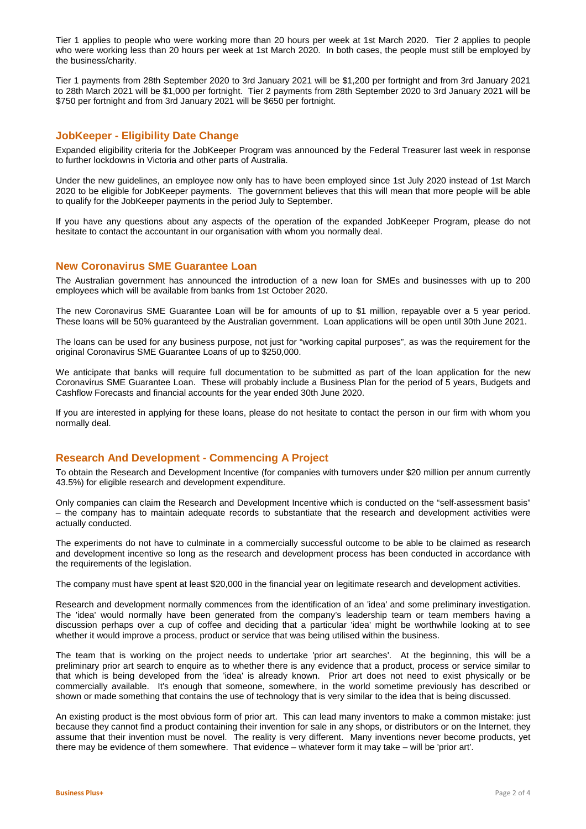Tier 1 applies to people who were working more than 20 hours per week at 1st March 2020. Tier 2 applies to people who were working less than 20 hours per week at 1st March 2020. In both cases, the people must still be employed by the business/charity.

Tier 1 payments from 28th September 2020 to 3rd January 2021 will be \$1,200 per fortnight and from 3rd January 2021 to 28th March 2021 will be \$1,000 per fortnight. Tier 2 payments from 28th September 2020 to 3rd January 2021 will be \$750 per fortnight and from 3rd January 2021 will be \$650 per fortnight.

## **JobKeeper - Eligibility Date Change**

Expanded eligibility criteria for the JobKeeper Program was announced by the Federal Treasurer last week in response to further lockdowns in Victoria and other parts of Australia.

Under the new guidelines, an employee now only has to have been employed since 1st July 2020 instead of 1st March 2020 to be eligible for JobKeeper payments. The government believes that this will mean that more people will be able to qualify for the JobKeeper payments in the period July to September.

If you have any questions about any aspects of the operation of the expanded JobKeeper Program, please do not hesitate to contact the accountant in our organisation with whom you normally deal.

## **New Coronavirus SME Guarantee Loan**

The Australian government has announced the introduction of a new loan for SMEs and businesses with up to 200 employees which will be available from banks from 1st October 2020.

The new Coronavirus SME Guarantee Loan will be for amounts of up to \$1 million, repayable over a 5 year period. These loans will be 50% guaranteed by the Australian government. Loan applications will be open until 30th June 2021.

The loans can be used for any business purpose, not just for "working capital purposes", as was the requirement for the original Coronavirus SME Guarantee Loans of up to \$250,000.

We anticipate that banks will require full documentation to be submitted as part of the loan application for the new Coronavirus SME Guarantee Loan. These will probably include a Business Plan for the period of 5 years, Budgets and Cashflow Forecasts and financial accounts for the year ended 30th June 2020.

If you are interested in applying for these loans, please do not hesitate to contact the person in our firm with whom you normally deal.

## **Research And Development - Commencing A Project**

To obtain the Research and Development Incentive (for companies with turnovers under \$20 million per annum currently 43.5%) for eligible research and development expenditure.

Only companies can claim the Research and Development Incentive which is conducted on the "self-assessment basis" – the company has to maintain adequate records to substantiate that the research and development activities were actually conducted.

The experiments do not have to culminate in a commercially successful outcome to be able to be claimed as research and development incentive so long as the research and development process has been conducted in accordance with the requirements of the legislation.

The company must have spent at least \$20,000 in the financial year on legitimate research and development activities.

Research and development normally commences from the identification of an 'idea' and some preliminary investigation. The 'idea' would normally have been generated from the company's leadership team or team members having a discussion perhaps over a cup of coffee and deciding that a particular 'idea' might be worthwhile looking at to see whether it would improve a process, product or service that was being utilised within the business.

The team that is working on the project needs to undertake 'prior art searches'. At the beginning, this will be a preliminary prior art search to enquire as to whether there is any evidence that a product, process or service similar to that which is being developed from the 'idea' is already known. Prior art does not need to exist physically or be commercially available. It's enough that someone, somewhere, in the world sometime previously has described or shown or made something that contains the use of technology that is very similar to the idea that is being discussed.

An existing product is the most obvious form of prior art. This can lead many inventors to make a common mistake: just because they cannot find a product containing their invention for sale in any shops, or distributors or on the Internet, they assume that their invention must be novel. The reality is very different. Many inventions never become products, yet there may be evidence of them somewhere. That evidence – whatever form it may take – will be 'prior art'.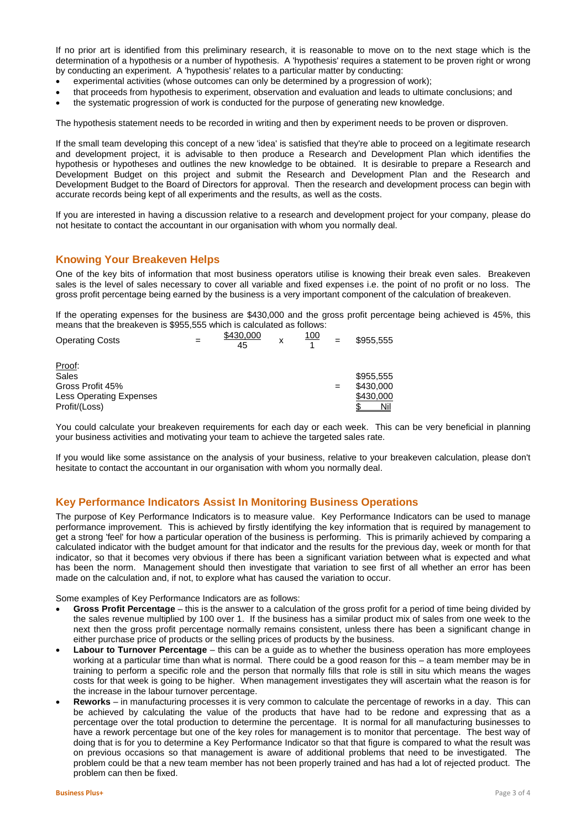If no prior art is identified from this preliminary research, it is reasonable to move on to the next stage which is the determination of a hypothesis or a number of hypothesis. A 'hypothesis' requires a statement to be proven right or wrong by conducting an experiment. A 'hypothesis' relates to a particular matter by conducting:

- experimental activities (whose outcomes can only be determined by a progression of work);
- that proceeds from hypothesis to experiment, observation and evaluation and leads to ultimate conclusions; and
- the systematic progression of work is conducted for the purpose of generating new knowledge.

The hypothesis statement needs to be recorded in writing and then by experiment needs to be proven or disproven.

If the small team developing this concept of a new 'idea' is satisfied that they're able to proceed on a legitimate research and development project, it is advisable to then produce a Research and Development Plan which identifies the hypothesis or hypotheses and outlines the new knowledge to be obtained. It is desirable to prepare a Research and Development Budget on this project and submit the Research and Development Plan and the Research and Development Budget to the Board of Directors for approval. Then the research and development process can begin with accurate records being kept of all experiments and the results, as well as the costs.

If you are interested in having a discussion relative to a research and development project for your company, please do not hesitate to contact the accountant in our organisation with whom you normally deal.

## **Knowing Your Breakeven Helps**

One of the key bits of information that most business operators utilise is knowing their break even sales. Breakeven sales is the level of sales necessary to cover all variable and fixed expenses i.e. the point of no profit or no loss. The gross profit percentage being earned by the business is a very important component of the calculation of breakeven.

If the operating expenses for the business are \$430,000 and the gross profit percentage being achieved is 45%, this means that the breakeven is \$955,555 which is calculated as follows:

| <b>Operating Costs</b>         | \$430,000<br>45 | x | <u> 100</u> | \$955,555 |
|--------------------------------|-----------------|---|-------------|-----------|
| <u>Proof:</u>                  |                 |   |             |           |
| Sales                          |                 |   |             | \$955,555 |
| Gross Profit 45%               |                 |   |             | \$430,000 |
| <b>Less Operating Expenses</b> |                 |   |             | \$430,000 |
| Profit/(Loss)                  |                 |   |             | Nil       |

You could calculate your breakeven requirements for each day or each week. This can be very beneficial in planning your business activities and motivating your team to achieve the targeted sales rate.

If you would like some assistance on the analysis of your business, relative to your breakeven calculation, please don't hesitate to contact the accountant in our organisation with whom you normally deal.

## **Key Performance Indicators Assist In Monitoring Business Operations**

The purpose of Key Performance Indicators is to measure value. Key Performance Indicators can be used to manage performance improvement. This is achieved by firstly identifying the key information that is required by management to get a strong 'feel' for how a particular operation of the business is performing. This is primarily achieved by comparing a calculated indicator with the budget amount for that indicator and the results for the previous day, week or month for that indicator, so that it becomes very obvious if there has been a significant variation between what is expected and what has been the norm. Management should then investigate that variation to see first of all whether an error has been made on the calculation and, if not, to explore what has caused the variation to occur.

Some examples of Key Performance Indicators are as follows:

- **Gross Profit Percentage** this is the answer to a calculation of the gross profit for a period of time being divided by the sales revenue multiplied by 100 over 1. If the business has a similar product mix of sales from one week to the next then the gross profit percentage normally remains consistent, unless there has been a significant change in either purchase price of products or the selling prices of products by the business.
- **Labour to Turnover Percentage** this can be a guide as to whether the business operation has more employees working at a particular time than what is normal. There could be a good reason for this – a team member may be in training to perform a specific role and the person that normally fills that role is still in situ which means the wages costs for that week is going to be higher. When management investigates they will ascertain what the reason is for the increase in the labour turnover percentage.
- **Reworks** in manufacturing processes it is very common to calculate the percentage of reworks in a day. This can be achieved by calculating the value of the products that have had to be redone and expressing that as a percentage over the total production to determine the percentage. It is normal for all manufacturing businesses to have a rework percentage but one of the key roles for management is to monitor that percentage. The best way of doing that is for you to determine a Key Performance Indicator so that that figure is compared to what the result was on previous occasions so that management is aware of additional problems that need to be investigated. The problem could be that a new team member has not been properly trained and has had a lot of rejected product. The problem can then be fixed.